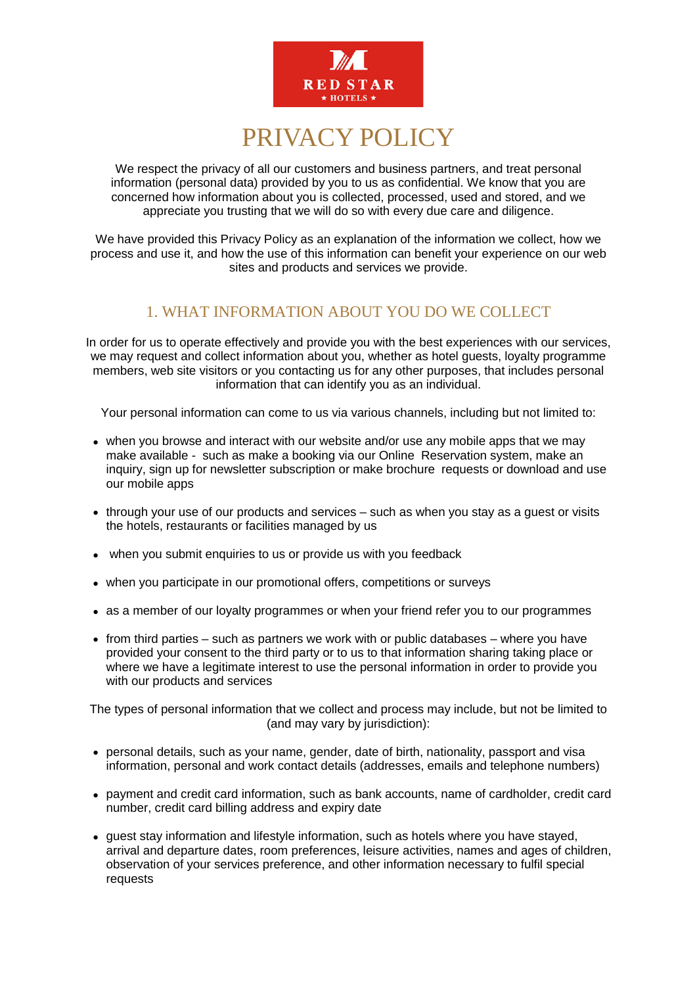

# PRIVACY POLICY

We respect the privacy of all our customers and business partners, and treat personal information (personal data) provided by you to us as confidential. We know that you are concerned how information about you is collected, processed, used and stored, and we appreciate you trusting that we will do so with every due care and diligence.

We have provided this Privacy Policy as an explanation of the information we collect, how we process and use it, and how the use of this information can benefit your experience on our web sites and products and services we provide.

# 1. WHAT INFORMATION ABOUT YOU DO WE COLLECT

In order for us to operate effectively and provide you with the best experiences with our services, we may request and collect information about you, whether as hotel guests, loyalty programme members, web site visitors or you contacting us for any other purposes, that includes personal information that can identify you as an individual.

Your personal information can come to us via various channels, including but not limited to:

- when you browse and interact with our website and/or use any mobile apps that we may make available - such as make a booking via our Online Reservation system, make an inquiry, sign up for newsletter subscription or make brochure requests or download and use our mobile apps
- through your use of our products and services such as when you stay as a quest or visits the hotels, restaurants or facilities managed by us
- when you submit enquiries to us or provide us with you feedback
- when you participate in our promotional offers, competitions or surveys
- as a member of our loyalty programmes or when your friend refer you to our programmes
- from third parties such as partners we work with or public databases where you have provided your consent to the third party or to us to that information sharing taking place or where we have a legitimate interest to use the personal information in order to provide you with our products and services

The types of personal information that we collect and process may include, but not be limited to (and may vary by jurisdiction):

- personal details, such as your name, gender, date of birth, nationality, passport and visa information, personal and work contact details (addresses, emails and telephone numbers)
- payment and credit card information, such as bank accounts, name of cardholder, credit card number, credit card billing address and expiry date
- guest stay information and lifestyle information, such as hotels where you have stayed, arrival and departure dates, room preferences, leisure activities, names and ages of children, observation of your services preference, and other information necessary to fulfil special requests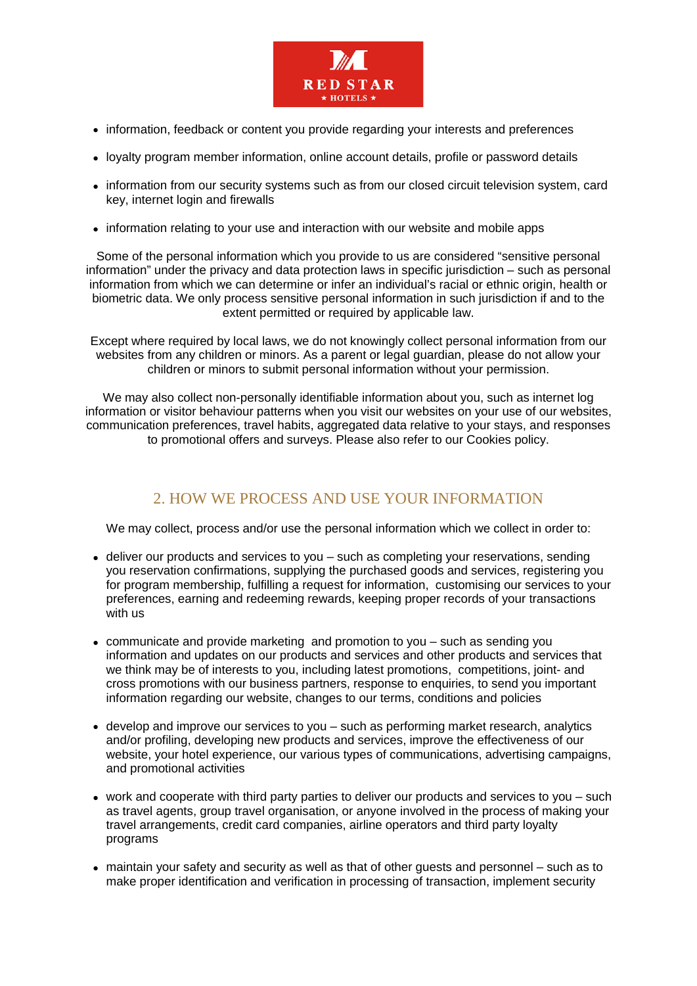

- information, feedback or content you provide regarding your interests and preferences
- loyalty program member information, online account details, profile or password details
- information from our security systems such as from our closed circuit television system, card key, internet login and firewalls
- information relating to your use and interaction with our website and mobile apps

Some of the personal information which you provide to us are considered "sensitive personal information" under the privacy and data protection laws in specific jurisdiction – such as personal information from which we can determine or infer an individual's racial or ethnic origin, health or biometric data. We only process sensitive personal information in such jurisdiction if and to the extent permitted or required by applicable law.

Except where required by local laws, we do not knowingly collect personal information from our websites from any children or minors. As a parent or legal guardian, please do not allow your children or minors to submit personal information without your permission.

We may also collect non-personally identifiable information about you, such as internet log information or visitor behaviour patterns when you visit our websites on your use of our websites, communication preferences, travel habits, aggregated data relative to your stays, and responses to promotional offers and surveys. Please also refer to our Cookies policy.

# 2. HOW WE PROCESS AND USE YOUR INFORMATION

We may collect, process and/or use the personal information which we collect in order to:

- deliver our products and services to you such as completing your reservations, sending you reservation confirmations, supplying the purchased goods and services, registering you for program membership, fulfilling a request for information, customising our services to your preferences, earning and redeeming rewards, keeping proper records of your transactions with us
- communicate and provide marketing and promotion to you such as sending you information and updates on our products and services and other products and services that we think may be of interests to you, including latest promotions, competitions, joint- and cross promotions with our business partners, response to enquiries, to send you important information regarding our website, changes to our terms, conditions and policies
- develop and improve our services to you such as performing market research, analytics and/or profiling, developing new products and services, improve the effectiveness of our website, your hotel experience, our various types of communications, advertising campaigns, and promotional activities
- work and cooperate with third party parties to deliver our products and services to you such as travel agents, group travel organisation, or anyone involved in the process of making your travel arrangements, credit card companies, airline operators and third party loyalty programs
- maintain your safety and security as well as that of other guests and personnel such as to make proper identification and verification in processing of transaction, implement security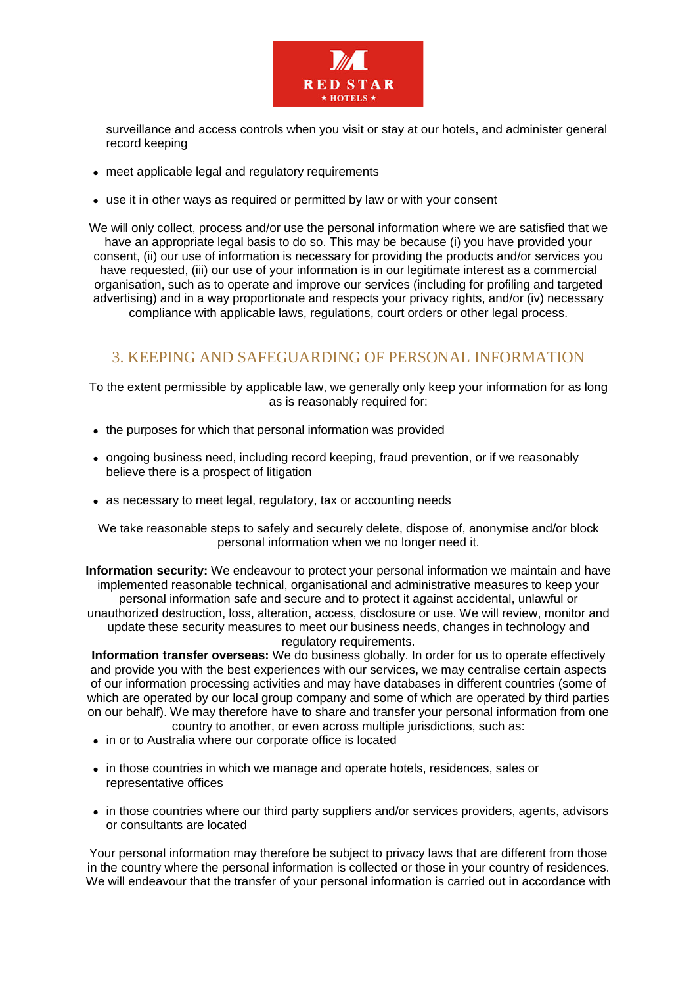

surveillance and access controls when you visit or stay at our hotels, and administer general record keeping

- meet applicable legal and regulatory requirements
- use it in other ways as required or permitted by law or with your consent

We will only collect, process and/or use the personal information where we are satisfied that we have an appropriate legal basis to do so. This may be because (i) you have provided your consent, (ii) our use of information is necessary for providing the products and/or services you have requested, (iii) our use of your information is in our legitimate interest as a commercial organisation, such as to operate and improve our services (including for profiling and targeted advertising) and in a way proportionate and respects your privacy rights, and/or (iv) necessary compliance with applicable laws, regulations, court orders or other legal process.

#### 3. KEEPING AND SAFEGUARDING OF PERSONAL INFORMATION

To the extent permissible by applicable law, we generally only keep your information for as long as is reasonably required for:

- the purposes for which that personal information was provided
- ongoing business need, including record keeping, fraud prevention, or if we reasonably believe there is a prospect of litigation
- as necessary to meet legal, regulatory, tax or accounting needs

We take reasonable steps to safely and securely delete, dispose of, anonymise and/or block personal information when we no longer need it.

**Information security:** We endeavour to protect your personal information we maintain and have implemented reasonable technical, organisational and administrative measures to keep your personal information safe and secure and to protect it against accidental, unlawful or unauthorized destruction, loss, alteration, access, disclosure or use. We will review, monitor and update these security measures to meet our business needs, changes in technology and regulatory requirements.

**Information transfer overseas:** We do business globally. In order for us to operate effectively and provide you with the best experiences with our services, we may centralise certain aspects of our information processing activities and may have databases in different countries (some of which are operated by our local group company and some of which are operated by third parties on our behalf). We may therefore have to share and transfer your personal information from one country to another, or even across multiple jurisdictions, such as:

- in or to Australia where our corporate office is located
- in those countries in which we manage and operate hotels, residences, sales or representative offices
- in those countries where our third party suppliers and/or services providers, agents, advisors or consultants are located

Your personal information may therefore be subject to privacy laws that are different from those in the country where the personal information is collected or those in your country of residences. We will endeavour that the transfer of your personal information is carried out in accordance with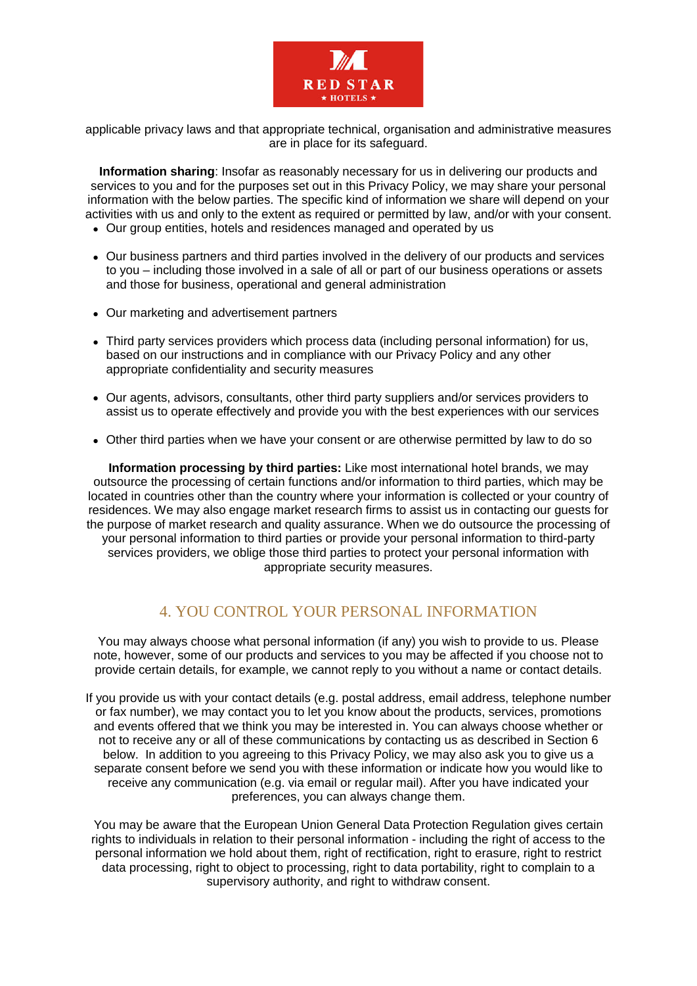

applicable privacy laws and that appropriate technical, organisation and administrative measures are in place for its safeguard.

**Information sharing**: Insofar as reasonably necessary for us in delivering our products and services to you and for the purposes set out in this Privacy Policy, we may share your personal information with the below parties. The specific kind of information we share will depend on your activities with us and only to the extent as required or permitted by law, and/or with your consent.

- Our group entities, hotels and residences managed and operated by us
- Our business partners and third parties involved in the delivery of our products and services to you – including those involved in a sale of all or part of our business operations or assets and those for business, operational and general administration
- Our marketing and advertisement partners
- Third party services providers which process data (including personal information) for us, based on our instructions and in compliance with our Privacy Policy and any other appropriate confidentiality and security measures
- Our agents, advisors, consultants, other third party suppliers and/or services providers to assist us to operate effectively and provide you with the best experiences with our services
- Other third parties when we have your consent or are otherwise permitted by law to do so

**Information processing by third parties:** Like most international hotel brands, we may outsource the processing of certain functions and/or information to third parties, which may be located in countries other than the country where your information is collected or your country of residences. We may also engage market research firms to assist us in contacting our guests for the purpose of market research and quality assurance. When we do outsource the processing of your personal information to third parties or provide your personal information to third-party services providers, we oblige those third parties to protect your personal information with appropriate security measures.

#### 4. YOU CONTROL YOUR PERSONAL INFORMATION

You may always choose what personal information (if any) you wish to provide to us. Please note, however, some of our products and services to you may be affected if you choose not to provide certain details, for example, we cannot reply to you without a name or contact details.

If you provide us with your contact details (e.g. postal address, email address, telephone number or fax number), we may contact you to let you know about the products, services, promotions and events offered that we think you may be interested in. You can always choose whether or not to receive any or all of these communications by contacting us as described in Section 6 below. In addition to you agreeing to this Privacy Policy, we may also ask you to give us a separate consent before we send you with these information or indicate how you would like to receive any communication (e.g. via email or regular mail). After you have indicated your preferences, you can always change them.

You may be aware that the European Union General Data Protection Regulation gives certain rights to individuals in relation to their personal information - including the right of access to the personal information we hold about them, right of rectification, right to erasure, right to restrict data processing, right to object to processing, right to data portability, right to complain to a supervisory authority, and right to withdraw consent.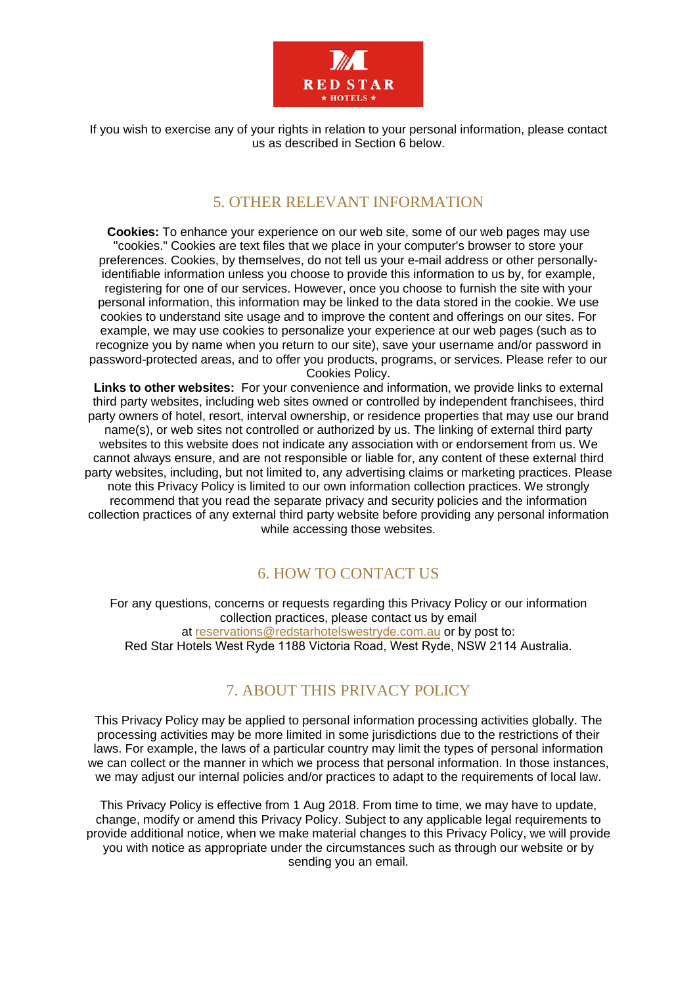

If you wish to exercise any of your rights in relation to your personal information, please contact us as described in Section 6 below.

#### 5. OTHER RELEVANT INFORMATION

**Cookies:** To enhance your experience on our web site, some of our web pages may use "cookies." Cookies are text files that we place in your computer's browser to store your preferences. Cookies, by themselves, do not tell us your e-mail address or other personallyidentifiable information unless you choose to provide this information to us by, for example, registering for one of our services. However, once you choose to furnish the site with your personal information, this information may be linked to the data stored in the cookie. We use cookies to understand site usage and to improve the content and offerings on our sites. For example, we may use cookies to personalize your experience at our web pages (such as to recognize you by name when you return to our site), save your username and/or password in password-protected areas, and to offer you products, programs, or services. Please refer to our Cookies Policy.

**Links to other websites:** For your convenience and information, we provide links to external third party websites, including web sites owned or controlled by independent franchisees, third party owners of hotel, resort, interval ownership, or residence properties that may use our brand name(s), or web sites not controlled or authorized by us. The linking of external third party websites to this website does not indicate any association with or endorsement from us. We cannot always ensure, and are not responsible or liable for, any content of these external third party websites, including, but not limited to, any advertising claims or marketing practices. Please note this Privacy Policy is limited to our own information collection practices. We strongly recommend that you read the separate privacy and security policies and the information collection practices of any external third party website before providing any personal information while accessing those websites.

# 6. HOW TO CONTACT US

For any questions, concerns or requests regarding this Privacy Policy or our information collection practices, please contact us by email at reservations@redstarhotelswestryde.com.au or by post to: Red Star Hotels West Ryde 1188 Victoria Road, West Ryde, NSW 2114 Australia.

# 7. ABOUT THIS PRIVACY POLICY

This Privacy Policy may be applied to personal information processing activities globally. The processing activities may be more limited in some jurisdictions due to the restrictions of their laws. For example, the laws of a particular country may limit the types of personal information we can collect or the manner in which we process that personal information. In those instances, we may adjust our internal policies and/or practices to adapt to the requirements of local law.

This Privacy Policy is effective from 1 Aug 2018. From time to time, we may have to update, change, modify or amend this Privacy Policy. Subject to any applicable legal requirements to provide additional notice, when we make material changes to this Privacy Policy, we will provide you with notice as appropriate under the circumstances such as through our website or by sending you an email.